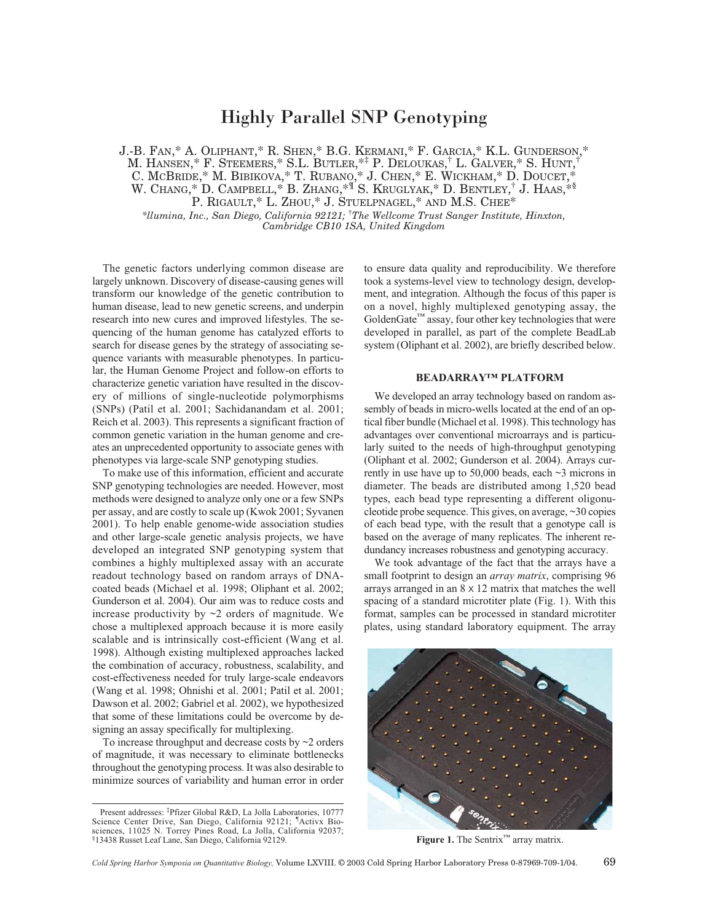# Highly Parallel SNP Genotyping

J.-B. FAN,\* A. OLIPHANT,\* R. SHEN,\* B.G. KERMANI,\* F. GARCIA,\* K.L. GUNDERSON,\* M. HANSEN,\* F. STEEMERS,\* S.L. BUTLER,\*‡ P. DELOUKAS, † L. GALVER,\* S. HUNT, † C. MCBRIDE,\* M. BIBIKOVA,\* T. RUBANO,\* J. CHEN,\* E. WICKHAM,\* D. DOUCET,\* W. CHANG,\* D. CAMPBELL,\* B. ZHANG,\*¶ S. KRUGLYAK,\* D. BENTLEY, † J. HAAS,\*§ P. RIGAULT,\* L. ZHOU,\* J. STUELPNAGEL,\* AND M.S. CHEE\* *\*llumina, Inc., San Diego, California 92121;* † *The Wellcome Trust Sanger Institute, Hinxton, Cambridge CB10 1SA, United Kingdom*

The genetic factors underlying common disease are largely unknown. Discovery of disease-causing genes will transform our knowledge of the genetic contribution to human disease, lead to new genetic screens, and underpin research into new cures and improved lifestyles. The sequencing of the human genome has catalyzed efforts to search for disease genes by the strategy of associating sequence variants with measurable phenotypes. In particular, the Human Genome Project and follow-on efforts to characterize genetic variation have resulted in the discovery of millions of single-nucleotide polymorphisms (SNPs) (Patil et al. 2001; Sachidanandam et al. 2001; Reich et al. 2003). This represents a significant fraction of common genetic variation in the human genome and creates an unprecedented opportunity to associate genes with phenotypes via large-scale SNP genotyping studies.

To make use of this information, efficient and accurate SNP genotyping technologies are needed. However, most methods were designed to analyze only one or a few SNPs per assay, and are costly to scale up (Kwok 2001; Syvanen 2001). To help enable genome-wide association studies and other large-scale genetic analysis projects, we have developed an integrated SNP genotyping system that combines a highly multiplexed assay with an accurate readout technology based on random arrays of DNAcoated beads (Michael et al. 1998; Oliphant et al. 2002; Gunderson et al. 2004). Our aim was to reduce costs and increase productivity by  $\sim$ 2 orders of magnitude. We chose a multiplexed approach because it is more easily scalable and is intrinsically cost-efficient (Wang et al. 1998). Although existing multiplexed approaches lacked the combination of accuracy, robustness, scalability, and cost-effectiveness needed for truly large-scale endeavors (Wang et al. 1998; Ohnishi et al. 2001; Patil et al. 2001; Dawson et al. 2002; Gabriel et al. 2002), we hypothesized that some of these limitations could be overcome by designing an assay specifically for multiplexing.

To increase throughput and decrease costs by ~2 orders of magnitude, it was necessary to eliminate bottlenecks throughout the genotyping process. It was also desirable to minimize sources of variability and human error in order to ensure data quality and reproducibility. We therefore took a systems-level view to technology design, development, and integration. Although the focus of this paper is on a novel, highly multiplexed genotyping assay, the GoldenGate™ assay, four other key technologies that were developed in parallel, as part of the complete BeadLab system (Oliphant et al. 2002), are briefly described below.

#### **BEADARRAY™ PLATFORM**

We developed an array technology based on random assembly of beads in micro-wells located at the end of an optical fiber bundle (Michael et al. 1998). This technology has advantages over conventional microarrays and is particularly suited to the needs of high-throughput genotyping (Oliphant et al. 2002; Gunderson et al. 2004). Arrays currently in use have up to 50,000 beads, each ~3 microns in diameter. The beads are distributed among 1,520 bead types, each bead type representing a different oligonucleotide probe sequence. This gives, on average, ~30 copies of each bead type, with the result that a genotype call is based on the average of many replicates. The inherent redundancy increases robustness and genotyping accuracy.

We took advantage of the fact that the arrays have a small footprint to design an *array matrix*, comprising 96 arrays arranged in an 8 x 12 matrix that matches the well spacing of a standard microtiter plate (Fig. 1). With this format, samples can be processed in standard microtiter plates, using standard laboratory equipment. The array



Present addresses: ‡ Pfizer Global R&D, La Jolla Laboratories, 10777 Science Center Drive, San Diego, California 92121; <sup>1</sup>Activx Biosciences, 11025 N. Torrey Pines Road, La Jolla, California 92037; § 13438 Russet Leaf Lane, San Diego, California 92129. **Figure 1.** The Sentrix™ array matrix.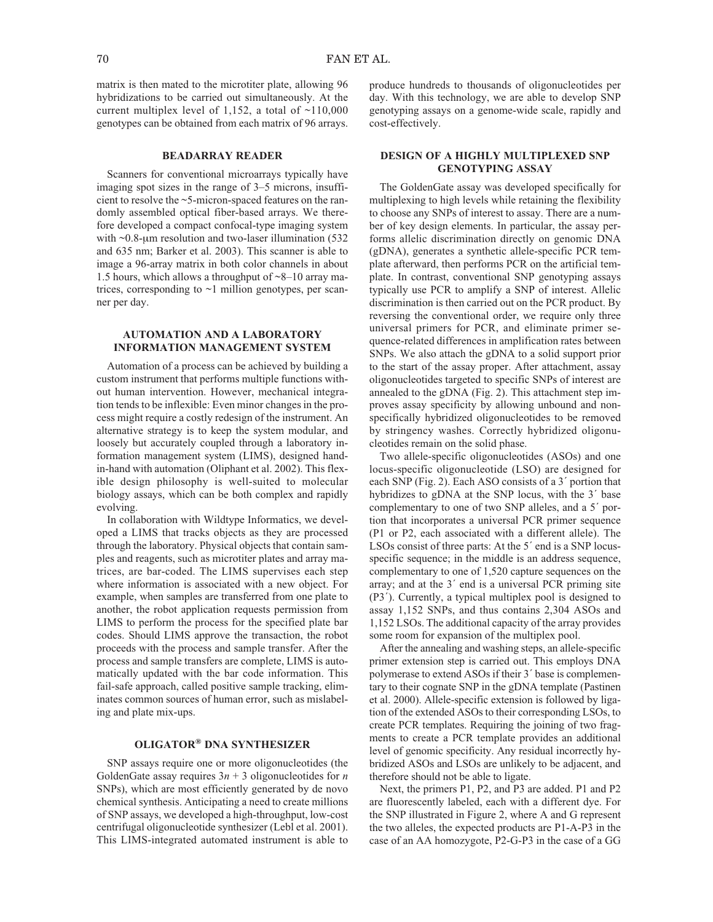matrix is then mated to the microtiter plate, allowing 96 hybridizations to be carried out simultaneously. At the current multiplex level of 1,152, a total of  $\sim$ 110,000 genotypes can be obtained from each matrix of 96 arrays.

#### **BEADARRAY READER**

Scanners for conventional microarrays typically have imaging spot sizes in the range of 3–5 microns, insufficient to resolve the ~5-micron-spaced features on the randomly assembled optical fiber-based arrays. We therefore developed a compact confocal-type imaging system with ~0.8-µm resolution and two-laser illumination (532) and 635 nm; Barker et al. 2003). This scanner is able to image a 96-array matrix in both color channels in about 1.5 hours, which allows a throughput of  $\sim$ 8–10 array matrices, corresponding to  $\sim$ 1 million genotypes, per scanner per day.

## **AUTOMATION AND A LABORATORY INFORMATION MANAGEMENT SYSTEM**

Automation of a process can be achieved by building a custom instrument that performs multiple functions without human intervention. However, mechanical integration tends to be inflexible: Even minor changes in the process might require a costly redesign of the instrument. An alternative strategy is to keep the system modular, and loosely but accurately coupled through a laboratory information management system (LIMS), designed handin-hand with automation (Oliphant et al. 2002). This flexible design philosophy is well-suited to molecular biology assays, which can be both complex and rapidly evolving.

In collaboration with Wildtype Informatics, we developed a LIMS that tracks objects as they are processed through the laboratory. Physical objects that contain samples and reagents, such as microtiter plates and array matrices, are bar-coded. The LIMS supervises each step where information is associated with a new object. For example, when samples are transferred from one plate to another, the robot application requests permission from LIMS to perform the process for the specified plate bar codes. Should LIMS approve the transaction, the robot proceeds with the process and sample transfer. After the process and sample transfers are complete, LIMS is automatically updated with the bar code information. This fail-safe approach, called positive sample tracking, eliminates common sources of human error, such as mislabeling and plate mix-ups.

# **OLIGATOR® DNA SYNTHESIZER**

SNP assays require one or more oligonucleotides (the GoldenGate assay requires  $3n + 3$  oligonucleotides for *n* SNPs), which are most efficiently generated by de novo chemical synthesis. Anticipating a need to create millions of SNP assays, we developed a high-throughput, low-cost centrifugal oligonucleotide synthesizer (Lebl et al. 2001). This LIMS-integrated automated instrument is able to produce hundreds to thousands of oligonucleotides per day. With this technology, we are able to develop SNP genotyping assays on a genome-wide scale, rapidly and cost-effectively.

## **DESIGN OF A HIGHLY MULTIPLEXED SNP GENOTYPING ASSAY**

The GoldenGate assay was developed specifically for multiplexing to high levels while retaining the flexibility to choose any SNPs of interest to assay. There are a number of key design elements. In particular, the assay performs allelic discrimination directly on genomic DNA (gDNA), generates a synthetic allele-specific PCR template afterward, then performs PCR on the artificial template. In contrast, conventional SNP genotyping assays typically use PCR to amplify a SNP of interest. Allelic discrimination is then carried out on the PCR product. By reversing the conventional order, we require only three universal primers for PCR, and eliminate primer sequence-related differences in amplification rates between SNPs. We also attach the gDNA to a solid support prior to the start of the assay proper. After attachment, assay oligonucleotides targeted to specific SNPs of interest are annealed to the gDNA (Fig. 2). This attachment step improves assay specificity by allowing unbound and nonspecifically hybridized oligonucleotides to be removed by stringency washes. Correctly hybridized oligonucleotides remain on the solid phase.

Two allele-specific oligonucleotides (ASOs) and one locus-specific oligonucleotide (LSO) are designed for each SNP (Fig. 2). Each ASO consists of a 3´ portion that hybridizes to gDNA at the SNP locus, with the 3´ base complementary to one of two SNP alleles, and a 5´ portion that incorporates a universal PCR primer sequence (P1 or P2, each associated with a different allele). The LSOs consist of three parts: At the 5´ end is a SNP locusspecific sequence; in the middle is an address sequence, complementary to one of 1,520 capture sequences on the array; and at the 3´ end is a universal PCR priming site (P3´). Currently, a typical multiplex pool is designed to assay 1,152 SNPs, and thus contains 2,304 ASOs and 1,152 LSOs. The additional capacity of the array provides some room for expansion of the multiplex pool.

After the annealing and washing steps, an allele-specific primer extension step is carried out. This employs DNA polymerase to extend ASOs if their 3´ base is complementary to their cognate SNP in the gDNA template (Pastinen et al. 2000). Allele-specific extension is followed by ligation of the extended ASOs to their corresponding LSOs, to create PCR templates. Requiring the joining of two fragments to create a PCR template provides an additional level of genomic specificity. Any residual incorrectly hybridized ASOs and LSOs are unlikely to be adjacent, and therefore should not be able to ligate.

Next, the primers P1, P2, and P3 are added. P1 and P2 are fluorescently labeled, each with a different dye. For the SNP illustrated in Figure 2, where A and G represent the two alleles, the expected products are P1-A-P3 in the case of an AA homozygote, P2-G-P3 in the case of a GG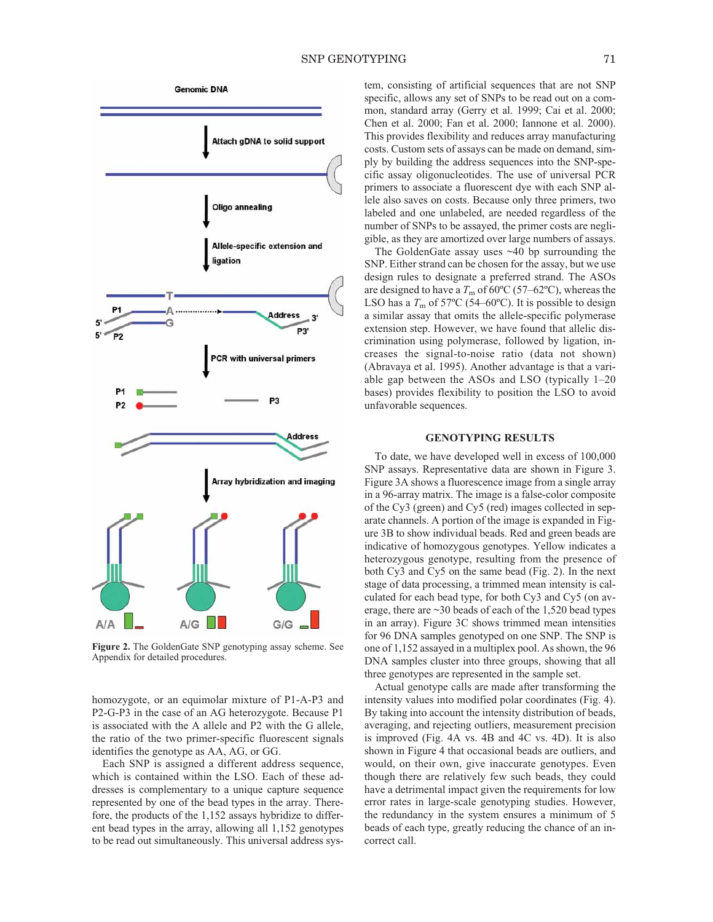

**Figure 2.** The GoldenGate SNP genotyping assay scheme. See Appendix for detailed procedures.

homozygote, or an equimolar mixture of P1-A-P3 and P2-G-P3 in the case of an AG heterozygote. Because P1 is associated with the A allele and P2 with the G allele, the ratio of the two primer-specific fluorescent signals identifies the genotype as AA, AG, or GG.

Each SNP is assigned a different address sequence, which is contained within the LSO. Each of these addresses is complementary to a unique capture sequence represented by one of the bead types in the array. Therefore, the products of the 1,152 assays hybridize to different bead types in the array, allowing all 1,152 genotypes to be read out simultaneously. This universal address system, consisting of artificial sequences that are not SNP specific, allows any set of SNPs to be read out on a common, standard array (Gerry et al. 1999; Cai et al. 2000; Chen et al. 2000; Fan et al. 2000; Iannone et al. 2000). This provides flexibility and reduces array manufacturing costs. Custom sets of assays can be made on demand, simply by building the address sequences into the SNP-specific assay oligonucleotides. The use of universal PCR primers to associate a fluorescent dye with each SNP allele also saves on costs. Because only three primers, two labeled and one unlabeled, are needed regardless of the number of SNPs to be assayed, the primer costs are negligible, as they are amortized over large numbers of assays.

The GoldenGate assay uses  $~10$  bp surrounding the SNP. Either strand can be chosen for the assay, but we use design rules to designate a preferred strand. The ASOs are designed to have a  $T<sub>m</sub>$  of 60 $\rm{^{\circ}C}$  (57–62 $\rm{^{\circ}C}$ ), whereas the LSO has a  $T<sub>m</sub>$  of 57<sup>o</sup>C (54–60<sup>o</sup>C). It is possible to design a similar assay that omits the allele-specific polymerase extension step. However, we have found that allelic discrimination using polymerase, followed by ligation, increases the signal-to-noise ratio (data not shown) (Abravaya et al. 1995). Another advantage is that a variable gap between the ASOs and LSO (typically 1–20 bases) provides flexibility to position the LSO to avoid unfavorable sequences.

## **GENOTYPING RESULTS**

To date, we have developed well in excess of 100,000 SNP assays. Representative data are shown in Figure 3. Figure 3A shows a fluorescence image from a single array in a 96-array matrix. The image is a false-color composite of the Cy3 (green) and Cy5 (red) images collected in separate channels. A portion of the image is expanded in Figure 3B to show individual beads. Red and green beads are indicative of homozygous genotypes. Yellow indicates a heterozygous genotype, resulting from the presence of both Cy3 and Cy5 on the same bead (Fig. 2). In the next stage of data processing, a trimmed mean intensity is calculated for each bead type, for both Cy3 and Cy5 (on average, there are ~30 beads of each of the 1,520 bead types in an array). Figure 3C shows trimmed mean intensities for 96 DNA samples genotyped on one SNP. The SNP is one of 1,152 assayed in a multiplex pool. As shown, the 96 DNA samples cluster into three groups, showing that all three genotypes are represented in the sample set.

Actual genotype calls are made after transforming the intensity values into modified polar coordinates (Fig. 4). By taking into account the intensity distribution of beads, averaging, and rejecting outliers, measurement precision is improved (Fig. 4A vs. 4B and 4C vs. 4D). It is also shown in Figure 4 that occasional beads are outliers, and would, on their own, give inaccurate genotypes. Even though there are relatively few such beads, they could have a detrimental impact given the requirements for low error rates in large-scale genotyping studies. However, the redundancy in the system ensures a minimum of 5 beads of each type, greatly reducing the chance of an incorrect call.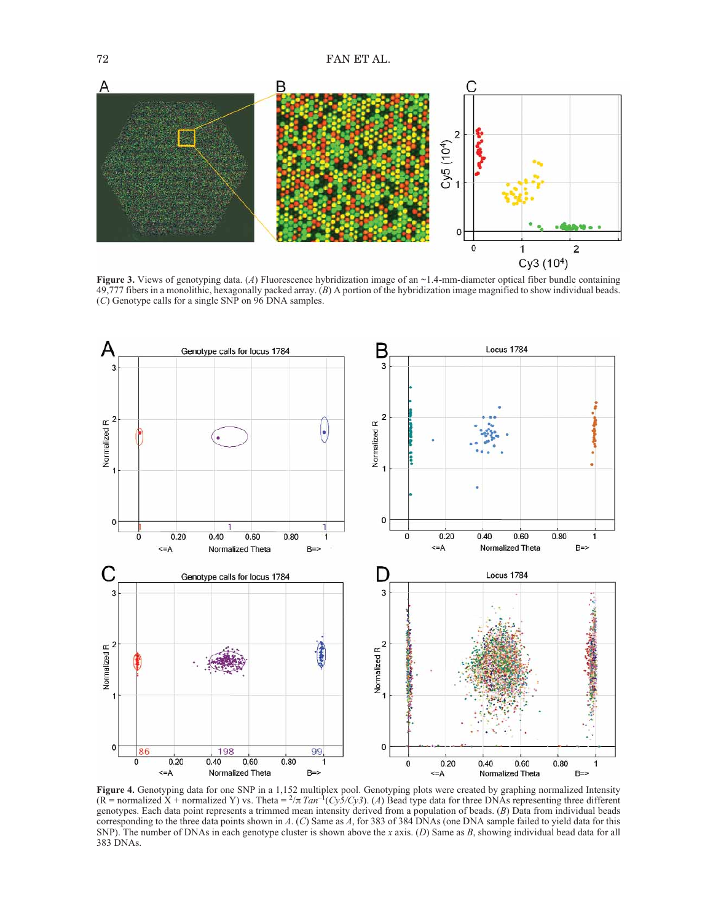

**Figure 3.** Views of genotyping data. (*A*) Fluorescence hybridization image of an ~1.4-mm-diameter optical fiber bundle containing 49,777 fibers in a monolithic, hexagonally packed array. (*B*) A portion of the hybridization image magnified to show individual beads. (*C*) Genotype calls for a single SNP on 96 DNA samples.



**Figure 4.** Genotyping data for one SNP in a 1,152 multiplex pool. Genotyping plots were created by graphing normalized Intensity (R = normalized X + normalized Y) vs. Theta =  $^2/\pi$  Tan<sup>-1</sup>(Cy5/Cy3). (A) Bead type data f genotypes. Each data point represents a trimmed mean intensity derived from a population of beads. (*B*) Data from individual beads corresponding to the three data points shown in *A*. (*C*) Same as *A*, for 383 of 384 DNAs (one DNA sample failed to yield data for this SNP). The number of DNAs in each genotype cluster is shown above the *x* axis. (*D*) Same as *B*, showing individual bead data for all 383 DNAs.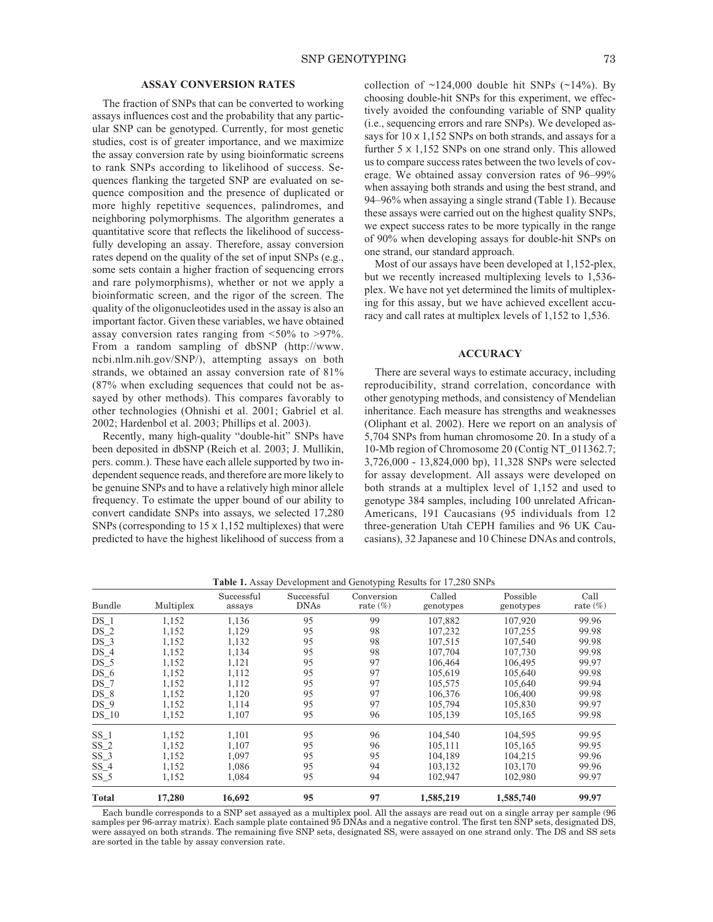# **ASSAY CONVERSION RATES**

The fraction of SNPs that can be converted to working assays influences cost and the probability that any particular SNP can be genotyped. Currently, for most genetic studies, cost is of greater importance, and we maximize the assay conversion rate by using bioinformatic screens to rank SNPs according to likelihood of success. Sequences flanking the targeted SNP are evaluated on sequence composition and the presence of duplicated or more highly repetitive sequences, palindromes, and neighboring polymorphisms. The algorithm generates a quantitative score that reflects the likelihood of successfully developing an assay. Therefore, assay conversion rates depend on the quality of the set of input SNPs (e.g., some sets contain a higher fraction of sequencing errors and rare polymorphisms), whether or not we apply a bioinformatic screen, and the rigor of the screen. The quality of the oligonucleotides used in the assay is also an important factor. Given these variables, we have obtained assay conversion rates ranging from <50% to >97%. From a random sampling of dbSNP (http://www. ncbi.nlm.nih.gov/SNP/), attempting assays on both strands, we obtained an assay conversion rate of 81% (87% when excluding sequences that could not be assayed by other methods). This compares favorably to other technologies (Ohnishi et al. 2001; Gabriel et al. 2002; Hardenbol et al. 2003; Phillips et al. 2003).

Recently, many high-quality "double-hit" SNPs have been deposited in dbSNP (Reich et al. 2003; J. Mullikin, pers. comm.). These have each allele supported by two independent sequence reads, and therefore are more likely to be genuine SNPs and to have a relatively high minor allele frequency. To estimate the upper bound of our ability to convert candidate SNPs into assays, we selected 17,280 SNPs (corresponding to  $15 \times 1,152$  multiplexes) that were predicted to have the highest likelihood of success from a collection of  $\sim$ 124,000 double hit SNPs ( $\sim$ 14%). By choosing double-hit SNPs for this experiment, we effectively avoided the confounding variable of SNP quality (i.e., sequencing errors and rare SNPs). We developed assays for 10 x 1,152 SNPs on both strands, and assays for a further 5 x 1,152 SNPs on one strand only. This allowed us to compare success rates between the two levels of coverage. We obtained assay conversion rates of 96–99% when assaying both strands and using the best strand, and 94–96% when assaying a single strand (Table 1). Because these assays were carried out on the highest quality SNPs, we expect success rates to be more typically in the range of 90% when developing assays for double-hit SNPs on one strand, our standard approach.

Most of our assays have been developed at 1,152-plex, but we recently increased multiplexing levels to 1,536 plex. We have not yet determined the limits of multiplexing for this assay, but we have achieved excellent accuracy and call rates at multiplex levels of 1,152 to 1,536.

## **ACCURACY**

There are several ways to estimate accuracy, including reproducibility, strand correlation, concordance with other genotyping methods, and consistency of Mendelian inheritance. Each measure has strengths and weaknesses (Oliphant et al. 2002). Here we report on an analysis of 5,704 SNPs from human chromosome 20. In a study of a 10-Mb region of Chromosome 20 (Contig NT\_011362.7; 3,726,000 - 13,824,000 bp), 11,328 SNPs were selected for assay development. All assays were developed on both strands at a multiplex level of 1,152 and used to genotype 384 samples, including 100 unrelated African-Americans, 191 Caucasians (95 individuals from 12 three-generation Utah CEPH families and 96 UK Caucasians), 32 Japanese and 10 Chinese DNAs and controls,

| Bundle          | Multiplex | Successful<br>assays | Successful<br><b>DNAs</b> | Conversion<br>rate $(\%)$ | Called<br>genotypes | Possible<br>genotypes | Call<br>rate $(\%)$ |
|-----------------|-----------|----------------------|---------------------------|---------------------------|---------------------|-----------------------|---------------------|
| DS <sub>1</sub> | 1,152     | 1,136                | 95                        | 99                        | 107,882             | 107,920               | 99.96               |
| DS 2            | 1,152     | 1,129                | 95                        | 98                        | 107,232             | 107,255               | 99.98               |
| $DS_3$          | 1,152     | 1,132                | 95                        | 98                        | 107,515             | 107,540               | 99.98               |
| $DS_4$          | 1,152     | 1,134                | 95                        | 98                        | 107,704             | 107,730               | 99.98               |
| $DS_5$          | 1,152     | 1,121                | 95                        | 97                        | 106,464             | 106,495               | 99.97               |
| $DS_6$          | 1,152     | 1,112                | 95                        | 97                        | 105,619             | 105,640               | 99.98               |
| $DS_7$          | 1,152     | 1,112                | 95                        | 97                        | 105,575             | 105,640               | 99.94               |
| $DS_8$          | 1,152     | 1,120                | 95                        | 97                        | 106,376             | 106,400               | 99.98               |
| $DS_9$          | 1,152     | 1,114                | 95                        | 97                        | 105.794             | 105,830               | 99.97               |
| $DS_10$         | 1,152     | 1,107                | 95                        | 96                        | 105,139             | 105,165               | 99.98               |
| $SS_1$          | 1,152     | 1,101                | 95                        | 96                        | 104,540             | 104,595               | 99.95               |
| $SS_2$          | 1,152     | 1,107                | 95                        | 96                        | 105,111             | 105,165               | 99.95               |
| $SS_3$          | 1,152     | 1,097                | 95                        | 95                        | 104.189             | 104.215               | 99.96               |
| $SS_4$          | 1,152     | 1,086                | 95                        | 94                        | 103.132             | 103.170               | 99.96               |
| $SS_5$          | 1,152     | 1,084                | 95                        | 94                        | 102,947             | 102,980               | 99.97               |
| <b>Total</b>    | 17,280    | 16,692               | 95                        | 97                        | 1,585,219           | 1,585,740             | 99.97               |

**Table 1.** Assay Development and Genotyping Results for 17,280 SNPs

Each bundle corresponds to a SNP set assayed as a multiplex pool. All the assays are read out on a single array per sample (96 samples per 96-array matrix). Each sample plate contained 95 DNAs and a negative control. The first ten SNP sets, designated DS, were assayed on both strands. The remaining five SNP sets, designated SS, were assayed on one strand only. The DS and SS sets are sorted in the table by assay conversion rate.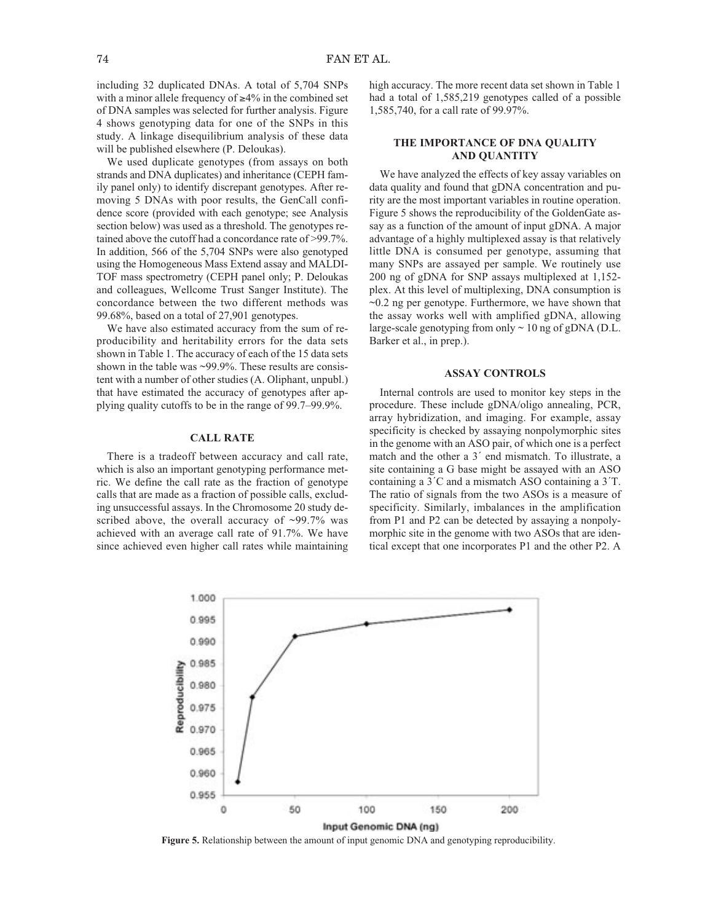including 32 duplicated DNAs. A total of 5,704 SNPs with a minor allele frequency of ≥4% in the combined set of DNA samples was selected for further analysis. Figure 4 shows genotyping data for one of the SNPs in this study. A linkage disequilibrium analysis of these data will be published elsewhere (P. Deloukas).

We used duplicate genotypes (from assays on both strands and DNA duplicates) and inheritance (CEPH family panel only) to identify discrepant genotypes. After removing 5 DNAs with poor results, the GenCall confidence score (provided with each genotype; see Analysis section below) was used as a threshold. The genotypes retained above the cutoff had a concordance rate of >99.7%. In addition, 566 of the 5,704 SNPs were also genotyped using the Homogeneous Mass Extend assay and MALDI-TOF mass spectrometry (CEPH panel only; P. Deloukas and colleagues, Wellcome Trust Sanger Institute). The concordance between the two different methods was 99.68%, based on a total of 27,901 genotypes.

We have also estimated accuracy from the sum of reproducibility and heritability errors for the data sets shown in Table 1. The accuracy of each of the 15 data sets shown in the table was ~99.9%. These results are consistent with a number of other studies (A. Oliphant, unpubl.) that have estimated the accuracy of genotypes after applying quality cutoffs to be in the range of 99.7–99.9%.

#### **CALL RATE**

There is a tradeoff between accuracy and call rate, which is also an important genotyping performance metric. We define the call rate as the fraction of genotype calls that are made as a fraction of possible calls, excluding unsuccessful assays. In the Chromosome 20 study described above, the overall accuracy of ~99.7% was achieved with an average call rate of 91.7%. We have since achieved even higher call rates while maintaining high accuracy. The more recent data set shown in Table 1 had a total of 1,585,219 genotypes called of a possible 1,585,740, for a call rate of 99.97%.

# **THE IMPORTANCE OF DNA QUALITY AND QUANTITY**

We have analyzed the effects of key assay variables on data quality and found that gDNA concentration and purity are the most important variables in routine operation. Figure 5 shows the reproducibility of the GoldenGate assay as a function of the amount of input gDNA. A major advantage of a highly multiplexed assay is that relatively little DNA is consumed per genotype, assuming that many SNPs are assayed per sample. We routinely use 200 ng of gDNA for SNP assays multiplexed at 1,152 plex. At this level of multiplexing, DNA consumption is  $\sim$ 0.2 ng per genotype. Furthermore, we have shown that the assay works well with amplified gDNA, allowing large-scale genotyping from only  $\sim$  10 ng of gDNA (D.L. Barker et al., in prep.).

#### **ASSAY CONTROLS**

Internal controls are used to monitor key steps in the procedure. These include gDNA/oligo annealing, PCR, array hybridization, and imaging. For example, assay specificity is checked by assaying nonpolymorphic sites in the genome with an ASO pair, of which one is a perfect match and the other a 3´ end mismatch. To illustrate, a site containing a G base might be assayed with an ASO containing a 3´C and a mismatch ASO containing a 3´T. The ratio of signals from the two ASOs is a measure of specificity. Similarly, imbalances in the amplification from P1 and P2 can be detected by assaying a nonpolymorphic site in the genome with two ASOs that are identical except that one incorporates P1 and the other P2. A



**Figure 5.** Relationship between the amount of input genomic DNA and genotyping reproducibility.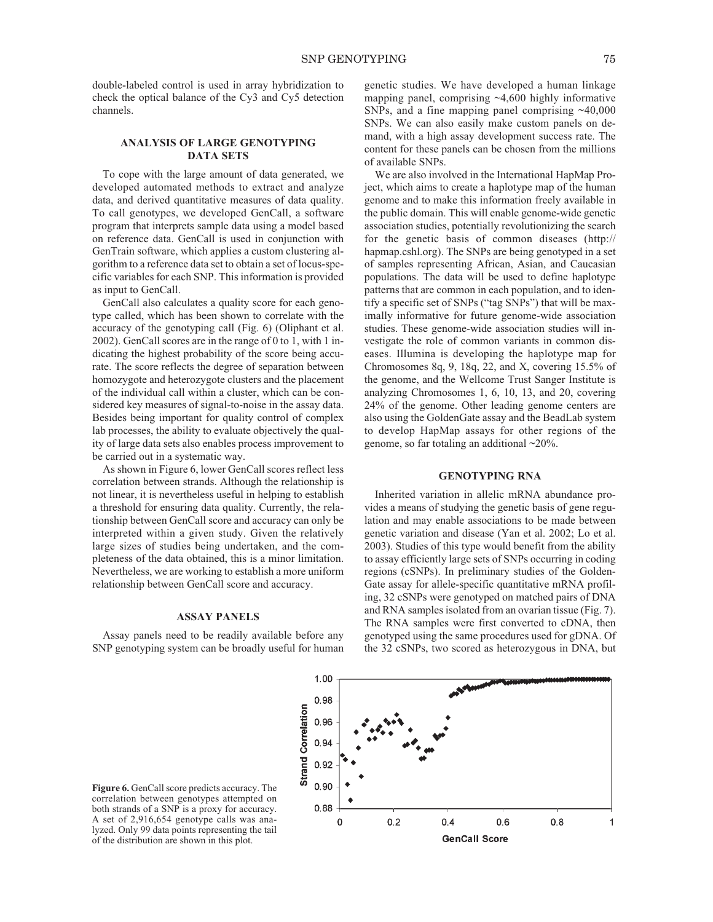double-labeled control is used in array hybridization to check the optical balance of the Cy3 and Cy5 detection channels.

# **ANALYSIS OF LARGE GENOTYPING DATA SETS**

To cope with the large amount of data generated, we developed automated methods to extract and analyze data, and derived quantitative measures of data quality. To call genotypes, we developed GenCall, a software program that interprets sample data using a model based on reference data. GenCall is used in conjunction with GenTrain software, which applies a custom clustering algorithm to a reference data set to obtain a set of locus-specific variables for each SNP. This information is provided as input to GenCall.

GenCall also calculates a quality score for each genotype called, which has been shown to correlate with the accuracy of the genotyping call (Fig. 6) (Oliphant et al. 2002). GenCall scores are in the range of 0 to 1, with 1 indicating the highest probability of the score being accurate. The score reflects the degree of separation between homozygote and heterozygote clusters and the placement of the individual call within a cluster, which can be considered key measures of signal-to-noise in the assay data. Besides being important for quality control of complex lab processes, the ability to evaluate objectively the quality of large data sets also enables process improvement to be carried out in a systematic way.

As shown in Figure 6, lower GenCall scores reflect less correlation between strands. Although the relationship is not linear, it is nevertheless useful in helping to establish a threshold for ensuring data quality. Currently, the relationship between GenCall score and accuracy can only be interpreted within a given study. Given the relatively large sizes of studies being undertaken, and the completeness of the data obtained, this is a minor limitation. Nevertheless, we are working to establish a more uniform relationship between GenCall score and accuracy.

#### **ASSAY PANELS**

Assay panels need to be readily available before any SNP genotyping system can be broadly useful for human genetic studies. We have developed a human linkage mapping panel, comprising  $~1,600$  highly informative SNPs, and a fine mapping panel comprising  $~10,000$ SNPs. We can also easily make custom panels on demand, with a high assay development success rate. The content for these panels can be chosen from the millions of available SNPs.

We are also involved in the International HapMap Project, which aims to create a haplotype map of the human genome and to make this information freely available in the public domain. This will enable genome-wide genetic association studies, potentially revolutionizing the search for the genetic basis of common diseases (http:// hapmap.cshl.org). The SNPs are being genotyped in a set of samples representing African, Asian, and Caucasian populations. The data will be used to define haplotype patterns that are common in each population, and to identify a specific set of SNPs ("tag SNPs") that will be maximally informative for future genome-wide association studies. These genome-wide association studies will investigate the role of common variants in common diseases. Illumina is developing the haplotype map for Chromosomes 8q, 9, 18q, 22, and X, covering 15.5% of the genome, and the Wellcome Trust Sanger Institute is analyzing Chromosomes 1, 6, 10, 13, and 20, covering 24% of the genome. Other leading genome centers are also using the GoldenGate assay and the BeadLab system to develop HapMap assays for other regions of the genome, so far totaling an additional ~20%.

## **GENOTYPING RNA**

Inherited variation in allelic mRNA abundance provides a means of studying the genetic basis of gene regulation and may enable associations to be made between genetic variation and disease (Yan et al. 2002; Lo et al. 2003). Studies of this type would benefit from the ability to assay efficiently large sets of SNPs occurring in coding regions (cSNPs). In preliminary studies of the Golden-Gate assay for allele-specific quantitative mRNA profiling, 32 cSNPs were genotyped on matched pairs of DNA and RNA samples isolated from an ovarian tissue (Fig. 7). The RNA samples were first converted to cDNA, then genotyped using the same procedures used for gDNA. Of the 32 cSNPs, two scored as heterozygous in DNA, but

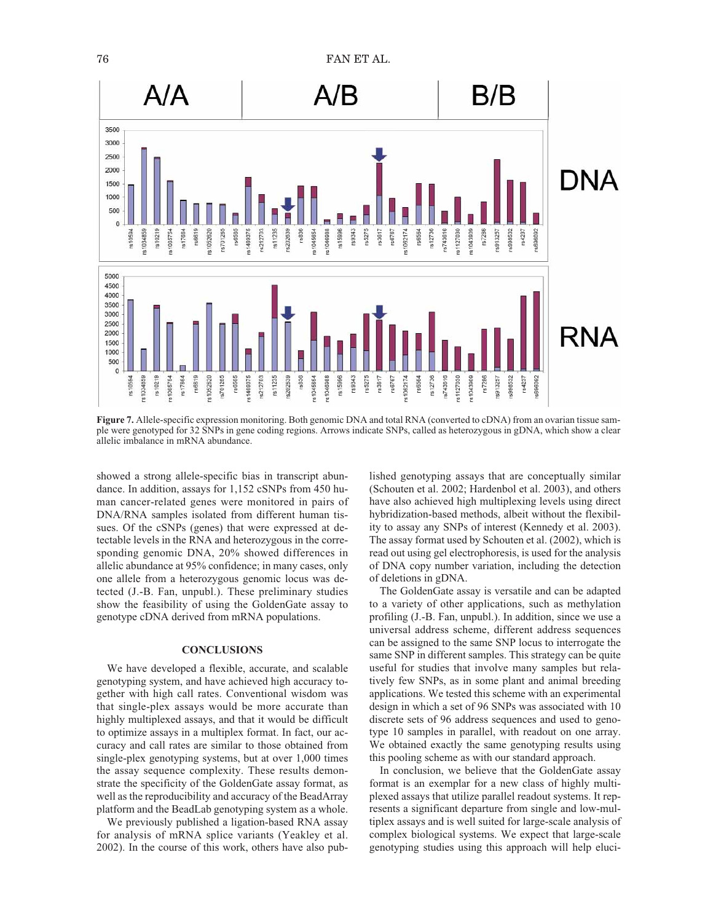

**Figure 7.** Allele-specific expression monitoring. Both genomic DNA and total RNA (converted to cDNA) from an ovarian tissue sample were genotyped for 32 SNPs in gene coding regions. Arrows indicate SNPs, called as heterozygous in gDNA, which show a clear allelic imbalance in mRNA abundance.

showed a strong allele-specific bias in transcript abundance. In addition, assays for 1,152 cSNPs from 450 human cancer-related genes were monitored in pairs of DNA/RNA samples isolated from different human tissues. Of the cSNPs (genes) that were expressed at detectable levels in the RNA and heterozygous in the corresponding genomic DNA, 20% showed differences in allelic abundance at 95% confidence; in many cases, only one allele from a heterozygous genomic locus was detected (J.-B. Fan, unpubl.). These preliminary studies show the feasibility of using the GoldenGate assay to genotype cDNA derived from mRNA populations.

#### **CONCLUSIONS**

We have developed a flexible, accurate, and scalable genotyping system, and have achieved high accuracy together with high call rates. Conventional wisdom was that single-plex assays would be more accurate than highly multiplexed assays, and that it would be difficult to optimize assays in a multiplex format. In fact, our accuracy and call rates are similar to those obtained from single-plex genotyping systems, but at over 1,000 times the assay sequence complexity. These results demonstrate the specificity of the GoldenGate assay format, as well as the reproducibility and accuracy of the BeadArray platform and the BeadLab genotyping system as a whole.

We previously published a ligation-based RNA assay for analysis of mRNA splice variants (Yeakley et al. 2002). In the course of this work, others have also pub-

lished genotyping assays that are conceptually similar (Schouten et al. 2002; Hardenbol et al. 2003), and others have also achieved high multiplexing levels using direct hybridization-based methods, albeit without the flexibility to assay any SNPs of interest (Kennedy et al. 2003). The assay format used by Schouten et al. (2002), which is read out using gel electrophoresis, is used for the analysis of DNA copy number variation, including the detection of deletions in gDNA.

The GoldenGate assay is versatile and can be adapted to a variety of other applications, such as methylation profiling (J.-B. Fan, unpubl.). In addition, since we use a universal address scheme, different address sequences can be assigned to the same SNP locus to interrogate the same SNP in different samples. This strategy can be quite useful for studies that involve many samples but relatively few SNPs, as in some plant and animal breeding applications. We tested this scheme with an experimental design in which a set of 96 SNPs was associated with 10 discrete sets of 96 address sequences and used to genotype 10 samples in parallel, with readout on one array. We obtained exactly the same genotyping results using this pooling scheme as with our standard approach.

In conclusion, we believe that the GoldenGate assay format is an exemplar for a new class of highly multiplexed assays that utilize parallel readout systems. It represents a significant departure from single and low-multiplex assays and is well suited for large-scale analysis of complex biological systems. We expect that large-scale genotyping studies using this approach will help eluci-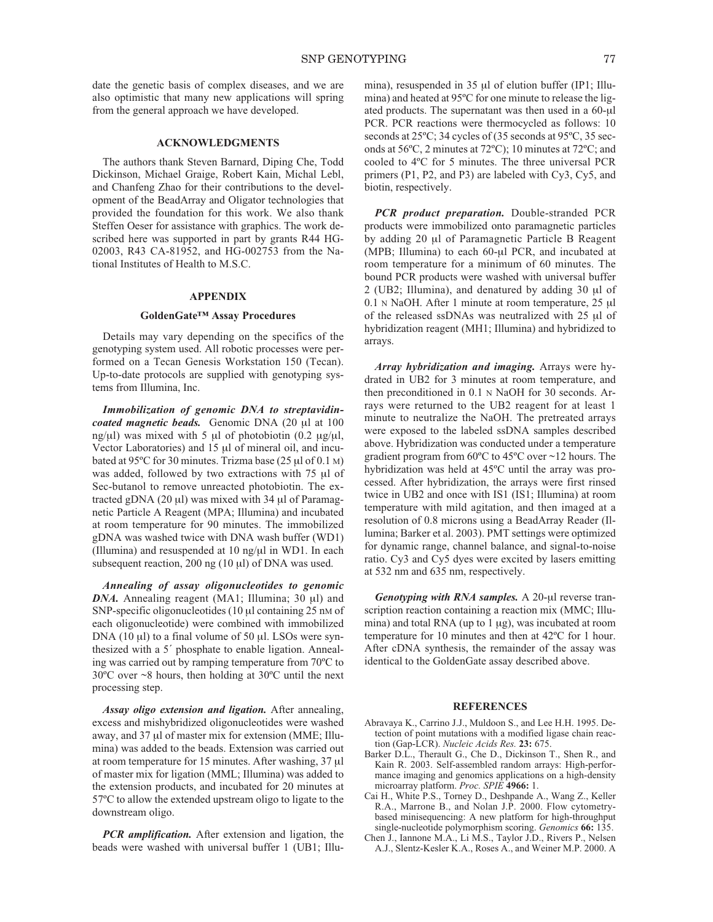date the genetic basis of complex diseases, and we are also optimistic that many new applications will spring from the general approach we have developed.

# **ACKNOWLEDGMENTS**

The authors thank Steven Barnard, Diping Che, Todd Dickinson, Michael Graige, Robert Kain, Michal Lebl, and Chanfeng Zhao for their contributions to the development of the BeadArray and Oligator technologies that provided the foundation for this work. We also thank Steffen Oeser for assistance with graphics. The work described here was supported in part by grants R44 HG-02003, R43 CA-81952, and HG-002753 from the National Institutes of Health to M.S.C.

# **APPENDIX**

## **GoldenGate™ Assay Procedures**

Details may vary depending on the specifics of the genotyping system used. All robotic processes were performed on a Tecan Genesis Workstation 150 (Tecan). Up-to-date protocols are supplied with genotyping systems from Illumina, Inc.

*Immobilization of genomic DNA to streptavidincoated magnetic beads.* Genomic DNA (20 µl at 100 ng/ $\mu$ l) was mixed with 5  $\mu$ l of photobiotin (0.2  $\mu$ g/ $\mu$ l, Vector Laboratories) and 15 µl of mineral oil, and incubated at 95ºC for 30 minutes. Trizma base (25 µl of 0.1 M) was added, followed by two extractions with 75 µl of Sec-butanol to remove unreacted photobiotin. The extracted gDNA (20 µl) was mixed with 34 µl of Paramagnetic Particle A Reagent (MPA; Illumina) and incubated at room temperature for 90 minutes. The immobilized gDNA was washed twice with DNA wash buffer (WD1) (Illumina) and resuspended at  $10$  ng/ $\mu$ l in WD1. In each subsequent reaction, 200 ng (10 µl) of DNA was used.

*Annealing of assay oligonucleotides to genomic DNA*. Annealing reagent (MA1; Illumina; 30 µl) and SNP-specific oligonucleotides (10 µl containing 25 nm of each oligonucleotide) were combined with immobilized DNA (10 µl) to a final volume of 50 µl. LSOs were synthesized with a 5´ phosphate to enable ligation. Annealing was carried out by ramping temperature from 70ºC to 30ºC over ~8 hours, then holding at 30ºC until the next processing step.

*Assay oligo extension and ligation.* After annealing, excess and mishybridized oligonucleotides were washed away, and 37 µl of master mix for extension (MME; Illumina) was added to the beads. Extension was carried out at room temperature for 15 minutes. After washing, 37 µl of master mix for ligation (MML; Illumina) was added to the extension products, and incubated for 20 minutes at 57ºC to allow the extended upstream oligo to ligate to the downstream oligo.

*PCR amplification.* After extension and ligation, the beads were washed with universal buffer 1 (UB1; Illumina), resuspended in 35 µl of elution buffer (IP1; Illumina) and heated at 95ºC for one minute to release the ligated products. The supernatant was then used in a 60-µl PCR. PCR reactions were thermocycled as follows: 10 seconds at 25ºC; 34 cycles of (35 seconds at 95ºC, 35 seconds at 56ºC, 2 minutes at 72ºC); 10 minutes at 72ºC; and cooled to 4ºC for 5 minutes. The three universal PCR primers (P1, P2, and P3) are labeled with Cy3, Cy5, and biotin, respectively.

*PCR product preparation.* Double-stranded PCR products were immobilized onto paramagnetic particles by adding 20 µl of Paramagnetic Particle B Reagent (MPB; Illumina) to each 60-µl PCR, and incubated at room temperature for a minimum of 60 minutes. The bound PCR products were washed with universal buffer 2 (UB2; Illumina), and denatured by adding 30 µl of 0.1 N NaOH. After 1 minute at room temperature, 25 µl of the released ssDNAs was neutralized with 25 µl of hybridization reagent (MH1; Illumina) and hybridized to arrays.

*Array hybridization and imaging.* Arrays were hydrated in UB2 for 3 minutes at room temperature, and then preconditioned in 0.1 N NaOH for 30 seconds. Arrays were returned to the UB2 reagent for at least 1 minute to neutralize the NaOH. The pretreated arrays were exposed to the labeled ssDNA samples described above. Hybridization was conducted under a temperature gradient program from 60ºC to 45ºC over ~12 hours. The hybridization was held at 45ºC until the array was processed. After hybridization, the arrays were first rinsed twice in UB2 and once with IS1 (IS1; Illumina) at room temperature with mild agitation, and then imaged at a resolution of 0.8 microns using a BeadArray Reader (Illumina; Barker et al. 2003). PMT settings were optimized for dynamic range, channel balance, and signal-to-noise ratio. Cy3 and Cy5 dyes were excited by lasers emitting at 532 nm and 635 nm, respectively.

Genotyping with RNA samples. A 20-ul reverse transcription reaction containing a reaction mix (MMC; Illumina) and total RNA (up to 1 µg), was incubated at room temperature for 10 minutes and then at 42ºC for 1 hour. After cDNA synthesis, the remainder of the assay was identical to the GoldenGate assay described above.

#### **REFERENCES**

- Abravaya K., Carrino J.J., Muldoon S., and Lee H.H. 1995. Detection of point mutations with a modified ligase chain reaction (Gap-LCR). *Nucleic Acids Res.* **23:** 675.
- Barker D.L., Therault G., Che D., Dickinson T., Shen R., and Kain R. 2003. Self-assembled random arrays: High-performance imaging and genomics applications on a high-density microarray platform. *Proc. SPIE* **4966:** 1.
- Cai H., White P.S., Torney D., Deshpande A., Wang Z., Keller R.A., Marrone B., and Nolan J.P. 2000. Flow cytometrybased minisequencing: A new platform for high-throughput single-nucleotide polymorphism scoring. *Genomics* **66:** 135.
- Chen J., Iannone M.A., Li M.S., Taylor J.D., Rivers P., Nelsen A.J., Slentz-Kesler K.A., Roses A., and Weiner M.P. 2000. A